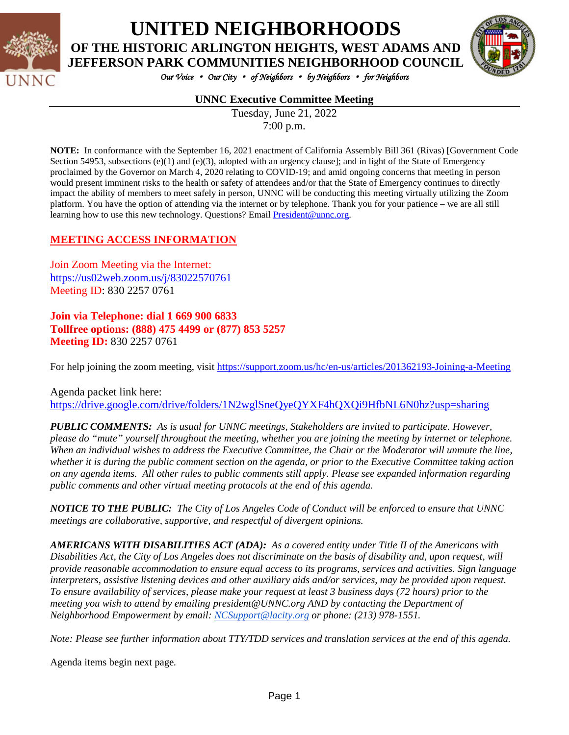

## **UNITED NEIGHBORHOODS OF THE HISTORIC ARLINGTON HEIGHTS, WEST ADAMS AND**



*Our Voice* • *Our City* • *of Neighbors* • *by Neighbors* • *for Neighbors* 

#### **UNNC Executive Committee Meeting**

Tuesday, June 21, 2022 7:00 p.m.

**NOTE:** In conformance with the September 16, 2021 enactment of California Assembly Bill 361 (Rivas) [Government Code Section 54953, subsections  $(e)(1)$  and  $(e)(3)$ , adopted with an urgency clause]; and in light of the State of Emergency proclaimed by the Governor on March 4, 2020 relating to COVID-19; and amid ongoing concerns that meeting in person would present imminent risks to the health or safety of attendees and/or that the State of Emergency continues to directly impact the ability of members to meet safely in person, UNNC will be conducting this meeting virtually utilizing the Zoom platform. You have the option of attending via the internet or by telephone. Thank you for your patience – we are all still learning how to use this new technology. Questions? Email [President@unnc.org.](mailto:President@unnc.org)

#### **MEETING ACCESS INFORMATION**

Join Zoom Meeting via the Internet: <https://us02web.zoom.us/j/83022570761> Meeting ID: 830 2257 0761

#### **Join via Telephone: dial 1 669 900 6833 Tollfree options: (888) 475 4499 or (877) 853 5257 Meeting ID:** 830 2257 0761

For help joining the zoom meeting, visit<https://support.zoom.us/hc/en-us/articles/201362193-Joining-a-Meeting>

Agenda packet link here: <https://drive.google.com/drive/folders/1N2wglSneQyeQYXF4hQXQi9HfbNL6N0hz?usp=sharing>

*PUBLIC COMMENTS: As is usual for UNNC meetings, Stakeholders are invited to participate. However, please do "mute" yourself throughout the meeting, whether you are joining the meeting by internet or telephone. When an individual wishes to address the Executive Committee, the Chair or the Moderator will unmute the line, whether it is during the public comment section on the agenda, or prior to the Executive Committee taking action on any agenda items. All other rules to public comments still apply. Please see expanded information regarding public comments and other virtual meeting protocols at the end of this agenda.*

*NOTICE TO THE PUBLIC: The City of Los Angeles Code of Conduct will be enforced to ensure that UNNC meetings are collaborative, supportive, and respectful of divergent opinions.* 

*AMERICANS WITH DISABILITIES ACT (ADA): As a covered entity under Title II of the Americans with Disabilities Act, the City of Los Angeles does not discriminate on the basis of disability and, upon request, will provide reasonable accommodation to ensure equal access to its programs, services and activities. Sign language interpreters, assistive listening devices and other auxiliary aids and/or services, may be provided upon request. To ensure availability of services, please make your request at least 3 business days (72 hours) prior to the meeting you wish to attend by emailing president@UNNC.org AND by contacting the Department of Neighborhood Empowerment by email: [NCSupport@lacity.org](mailto:NCSupport@lacity.org) or phone: (213) 978-1551.* 

*Note: Please see further information about TTY/TDD services and translation services at the end of this agenda.*

Agenda items begin next page*.*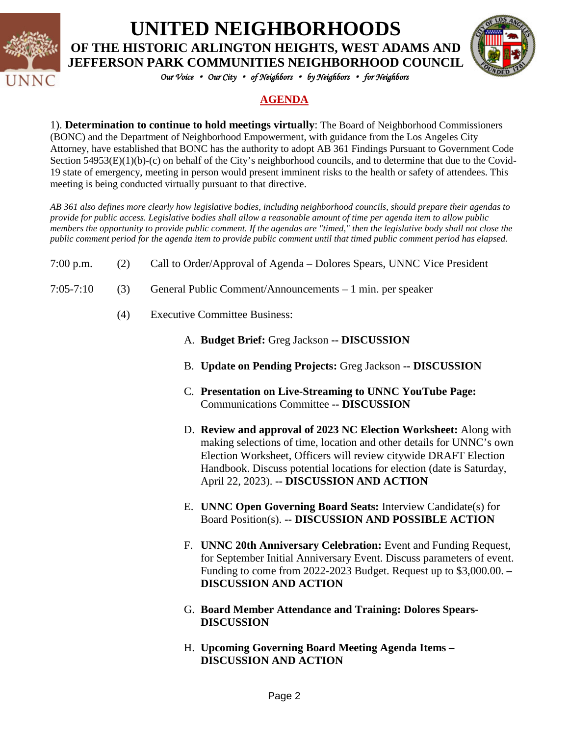

# **UNITED NEIGHBORHOODS**

**OF THE HISTORIC ARLINGTON HEIGHTS, WEST ADAMS AND JEFFERSON PARK COMMUNITIES NEIGHBORHOOD COUNCIL**



*Our Voice* • *Our City* • *of Neighbors* • *by Neighbors* • *for Neighbors* 

### **AGENDA**

1). **Determination to continue to hold meetings virtually**: The Board of Neighborhood Commissioners (BONC) and the Department of Neighborhood Empowerment, with guidance from the Los Angeles City Attorney, have established that BONC has the authority to adopt AB 361 Findings Pursuant to Government Code Section 54953(E)(1)(b)-(c) on behalf of the City's neighborhood councils, and to determine that due to the Covid-19 state of emergency, meeting in person would present imminent risks to the health or safety of attendees. This meeting is being conducted virtually pursuant to that directive.

*AB 361 also defines more clearly how legislative bodies, including neighborhood councils, should prepare their agendas to provide for public access. Legislative bodies shall allow a reasonable amount of time per agenda item to allow public members the opportunity to provide public comment. If the agendas are "timed," then the legislative body shall not close the public comment period for the agenda item to provide public comment until that timed public comment period has elapsed.*

- 7:00 p.m. (2) Call to Order/Approval of Agenda Dolores Spears, UNNC Vice President
- 7:05-7:10 (3) General Public Comment/Announcements 1 min. per speaker
	- (4) Executive Committee Business:
		- A. **Budget Brief:** Greg Jackson **-- DISCUSSION**
		- B. **Update on Pending Projects:** Greg Jackson **-- DISCUSSION**
		- C. **Presentation on Live-Streaming to UNNC YouTube Page:**  Communications Committee **-- DISCUSSION**
		- D. **Review and approval of 2023 NC Election Worksheet:** Along with making selections of time, location and other details for UNNC's own Election Worksheet, Officers will review citywide DRAFT Election Handbook. Discuss potential locations for election (date is Saturday, April 22, 2023). **-- DISCUSSION AND ACTION**
		- E. **UNNC Open Governing Board Seats:** Interview Candidate(s) for Board Position(s). **-- DISCUSSION AND POSSIBLE ACTION**
		- F. **UNNC 20th Anniversary Celebration:** Event and Funding Request, for September Initial Anniversary Event. Discuss parameters of event. Funding to come from 2022-2023 Budget. Request up to \$3,000.00. **– DISCUSSION AND ACTION**
		- G. **Board Member Attendance and Training: Dolores Spears-DISCUSSION**
		- H. **Upcoming Governing Board Meeting Agenda Items – DISCUSSION AND ACTION**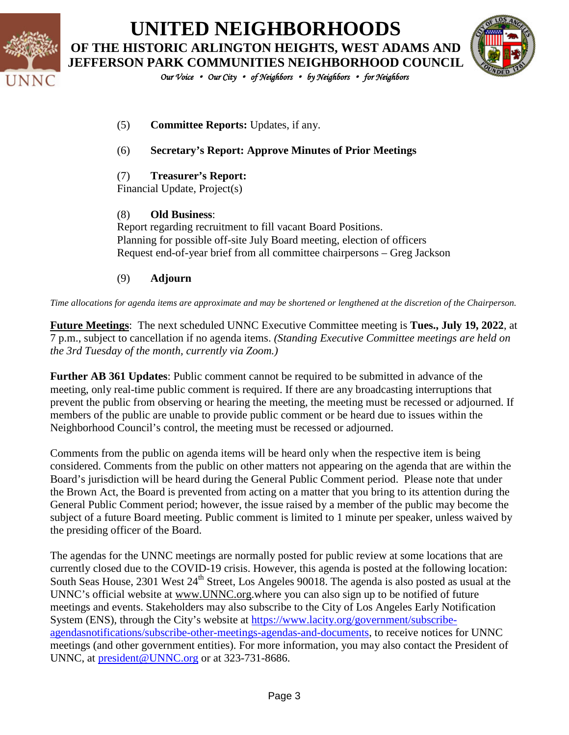

**UNITED NEIGHBORHOODS OF THE HISTORIC ARLINGTON HEIGHTS, WEST ADAMS AND JEFFERSON PARK COMMUNITIES NEIGHBORHOOD COUNCIL**



*Our Voice* • *Our City* • *of Neighbors* • *by Neighbors* • *for Neighbors* 

- (5) **Committee Reports:** Updates, if any.
- (6) **Secretary's Report: Approve Minutes of Prior Meetings**
- (7) **Treasurer's Report:**

Financial Update, Project(s)

#### (8) **Old Business**:

Report regarding recruitment to fill vacant Board Positions. Planning for possible off-site July Board meeting, election of officers Request end-of-year brief from all committee chairpersons – Greg Jackson

#### (9) **Adjourn**

*Time allocations for agenda items are approximate and may be shortened or lengthened at the discretion of the Chairperson.*

**Future Meetings**: The next scheduled UNNC Executive Committee meeting is **Tues., July 19, 2022**, at 7 p.m., subject to cancellation if no agenda items. *(Standing Executive Committee meetings are held on the 3rd Tuesday of the month, currently via Zoom.)*

**Further AB 361 Updates**: Public comment cannot be required to be submitted in advance of the meeting, only real-time public comment is required. If there are any broadcasting interruptions that prevent the public from observing or hearing the meeting, the meeting must be recessed or adjourned. If members of the public are unable to provide public comment or be heard due to issues within the Neighborhood Council's control, the meeting must be recessed or adjourned.

Comments from the public on agenda items will be heard only when the respective item is being considered. Comments from the public on other matters not appearing on the agenda that are within the Board's jurisdiction will be heard during the General Public Comment period. Please note that under the Brown Act, the Board is prevented from acting on a matter that you bring to its attention during the General Public Comment period; however, the issue raised by a member of the public may become the subject of a future Board meeting. Public comment is limited to 1 minute per speaker, unless waived by the presiding officer of the Board.

The agendas for the UNNC meetings are normally posted for public review at some locations that are currently closed due to the COVID-19 crisis. However, this agenda is posted at the following location: South Seas House, 2301 West 24<sup>th</sup> Street, Los Angeles 90018. The agenda is also posted as usual at the UNNC's official website at [www.UNNC.org.](http://www.unnc.org/)where you can also sign up to be notified of future meetings and events. Stakeholders may also subscribe to the City of Los Angeles Early Notification System (ENS), through the City's website at [https://www.lacity.org/government/subscribe](https://www.lacity.org/government/subscribe-agendasnotifications/subscribe-other-meetings-agendas-and-documents)[agendasnotifications/subscribe-other-meetings-agendas-and-documents,](https://www.lacity.org/government/subscribe-agendasnotifications/subscribe-other-meetings-agendas-and-documents) to receive notices for UNNC meetings (and other government entities). For more information, you may also contact the President of UNNC, at [president@UNNC.org](mailto:president@UNNC.org) or at 323-731-8686.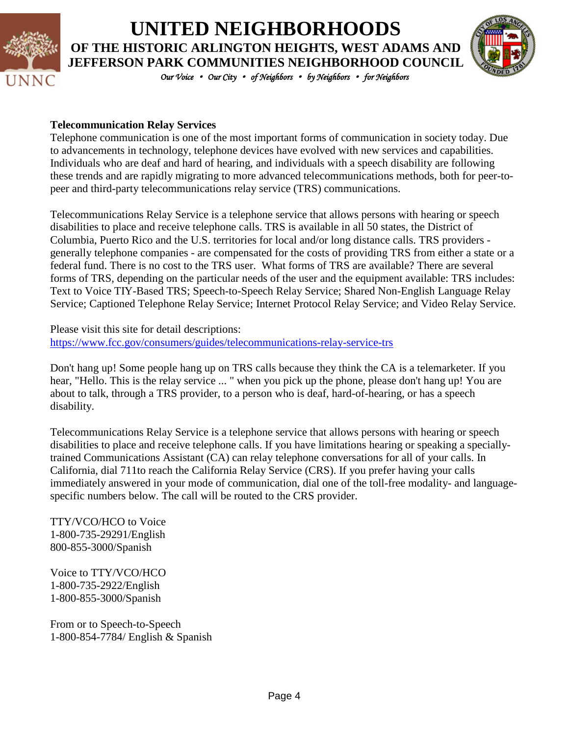

## **UNITED NEIGHBORHOODS OF THE HISTORIC ARLINGTON HEIGHTS, WEST ADAMS AND JEFFERSON PARK COMMUNITIES NEIGHBORHOOD COUNCIL**



*Our Voice* • *Our City* • *of Neighbors* • *by Neighbors* • *for Neighbors* 

#### **Telecommunication Relay Services**

Telephone communication is one of the most important forms of communication in society today. Due to advancements in technology, telephone devices have evolved with new services and capabilities. Individuals who are deaf and hard of hearing, and individuals with a speech disability are following these trends and are rapidly migrating to more advanced telecommunications methods, both for peer-topeer and third-party telecommunications relay service (TRS) communications.

Telecommunications Relay Service is a telephone service that allows persons with hearing or speech disabilities to place and receive telephone calls. TRS is available in all 50 states, the District of Columbia, Puerto Rico and the U.S. territories for local and/or long distance calls. TRS providers generally telephone companies - are compensated for the costs of providing TRS from either a state or a federal fund. There is no cost to the TRS user. What forms of TRS are available? There are several forms of TRS, depending on the particular needs of the user and the equipment available: TRS includes: Text to Voice TIY-Based TRS; Speech-to-Speech Relay Service; Shared Non-English Language Relay Service; Captioned Telephone Relay Service; Internet Protocol Relay Service; and Video Relay Service.

Please visit this site for detail descriptions: <https://www.fcc.gov/consumers/guides/telecommunications-relay-service-trs>

Don't hang up! Some people hang up on TRS calls because they think the CA is a telemarketer. If you hear, "Hello. This is the relay service ... " when you pick up the phone, please don't hang up! You are about to talk, through a TRS provider, to a person who is deaf, hard-of-hearing, or has a speech disability.

Telecommunications Relay Service is a telephone service that allows persons with hearing or speech disabilities to place and receive telephone calls. If you have limitations hearing or speaking a speciallytrained Communications Assistant (CA) can relay telephone conversations for all of your calls. In California, dial 711to reach the California Relay Service (CRS). If you prefer having your calls immediately answered in your mode of communication, dial one of the toll-free modality- and languagespecific numbers below. The call will be routed to the CRS provider.

TTY/VCO/HCO to Voice 1-800-735-29291/English 800-855-3000/Spanish

Voice to TTY/VCO/HCO 1-800-735-2922/English 1-800-855-3000/Spanish

From or to Speech-to-Speech 1-800-854-7784/ English & Spanish